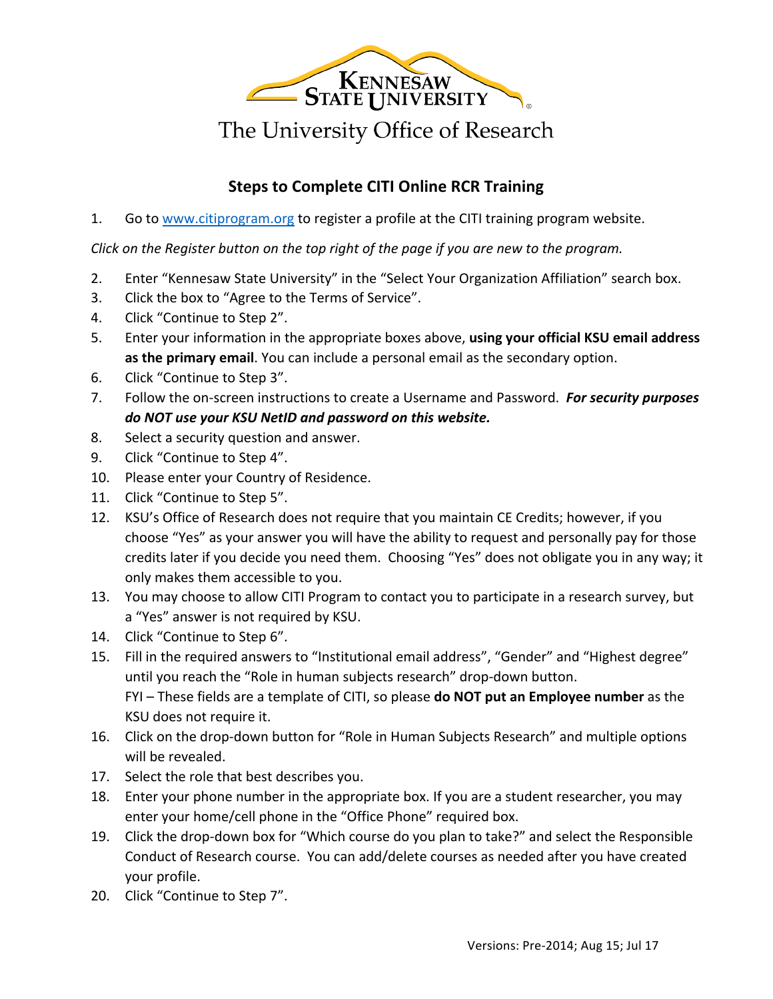

## **Steps to Complete CITI Online RCR Training**

1. Go to www.citiprogram.org to register a profile at the CITI training program website.

*Click* on the Register button on the top right of the page if you are new to the program.

- 2. Enter "Kennesaw State University" in the "Select Your Organization Affiliation" search box.
- 3. Click the box to "Agree to the Terms of Service".
- 4. Click "Continue to Step 2".
- 5. Enter your information in the appropriate boxes above, **using your official KSU email address** as the primary email. You can include a personal email as the secondary option.
- 6. Click "Continue to Step 3".
- 7. Follow the on-screen instructions to create a Username and Password. For *security purposes* do NOT use your KSU NetID and password on this website.
- 8. Select a security question and answer.
- 9. Click "Continue to Step 4".
- 10. Please enter your Country of Residence.
- 11. Click "Continue to Step 5".
- 12. KSU's Office of Research does not require that you maintain CE Credits; however, if you choose "Yes" as your answer you will have the ability to request and personally pay for those credits later if you decide you need them. Choosing "Yes" does not obligate you in any way; it only makes them accessible to you.
- 13. You may choose to allow CITI Program to contact you to participate in a research survey, but a "Yes" answer is not required by KSU.
- 14. Click "Continue to Step 6".
- 15. Fill in the required answers to "Institutional email address", "Gender" and "Highest degree" until you reach the "Role in human subjects research" drop-down button. FYI – These fields are a template of CITI, so please **do NOT put an Employee number** as the KSU does not require it.
- 16. Click on the drop-down button for "Role in Human Subjects Research" and multiple options will be revealed.
- 17. Select the role that best describes you.
- 18. Enter your phone number in the appropriate box. If you are a student researcher, you may enter your home/cell phone in the "Office Phone" required box.
- 19. Click the drop-down box for "Which course do you plan to take?" and select the Responsible Conduct of Research course. You can add/delete courses as needed after you have created your profile.
- 20. Click "Continue to Step 7".